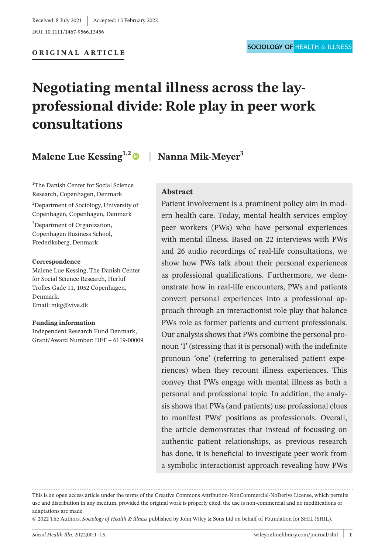DOI: 10.1111/1467-9566.13456

**ORIGINAL ARTICLE**

# **Negotiating mental illness across the layprofessional divide: Role play in peer work consultations**

**Malene Lue Kessing**<sup>1,2</sup> | **Nanna Mik-Meyer**<sup>3</sup>

<sup>1</sup>The Danish Center for Social Science Research, Copenhagen, Denmark

2 Department of Sociology, University of Copenhagen, Copenhagen, Denmark

<sup>3</sup>Department of Organization, Copenhagen Business School, Frederiksberg, Denmark

#### **Correspondence**

Malene Lue Kessing, The Danish Center for Social Science Research, Herluf Trolles Gade 11, 1052 Copenhagen, Denmark. Email: [mkg@vive.dk](mailto:mkg@vive.dk)

#### **Funding information**

Independent Research Fund Denmark, Grant/Award Number: DFF – 6119-00009

## **Abstract**

Patient involvement is a prominent policy aim in modern health care. Today, mental health services employ peer workers (PWs) who have personal experiences with mental illness. Based on 22 interviews with PWs and 26 audio recordings of real-life consultations, we show how PWs talk about their personal experiences as professional qualifications. Furthermore, we demonstrate how in real-life encounters, PWs and patients convert personal experiences into a professional approach through an interactionist role play that balance PWs role as former patients and current professionals. Our analysis shows that PWs combine the personal pronoun 'I' (stressing that it is personal) with the indefinite pronoun 'one' (referring to generalised patient experiences) when they recount illness experiences. This convey that PWs engage with mental illness as both a personal and professional topic. In addition, the analysis shows that PWs (and patients) use professional clues to manifest PWs' positions as professionals. Overall, the article demonstrates that instead of focussing on authentic patient relationships, as previous research has done, it is beneficial to investigate peer work from a symbolic interactionist approach revealing how PWs

This is an open access article under the terms of the [Creative Commons Attribution-NonCommercial-NoDerivs](http://creativecommons.org/licenses/by-nc-nd/4.0/) License, which permits use and distribution in any medium, provided the original work is properly cited, the use is non-commercial and no modifications or adaptations are made.

<sup>© 2022</sup> The Authors. *Sociology of Health & Illness* published by John Wiley & Sons Ltd on behalf of Foundation for SHIL (SHIL).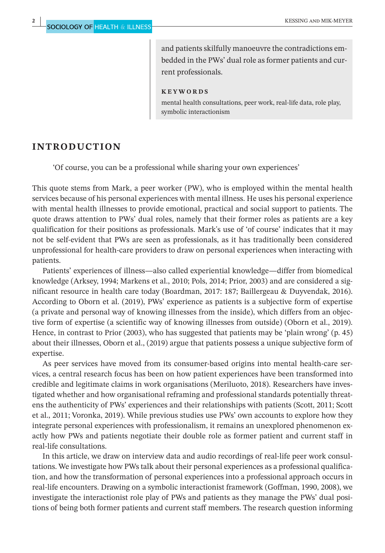and patients skilfully manoeuvre the contradictions embedded in the PWs' dual role as former patients and current professionals.

#### **KEYWORDS**

mental health consultations, peer work, real-life data, role play, symbolic interactionism

#### **INTRODUCTION**

'Of course, you can be a professional while sharing your own experiences'

This quote stems from Mark, a peer worker (PW), who is employed within the mental health services because of his personal experiences with mental illness. He uses his personal experience with mental health illnesses to provide emotional, practical and social support to patients. The quote draws attention to PWs' dual roles, namely that their former roles as patients are a key qualification for their positions as professionals. Mark's use of 'of course' indicates that it may not be self-evident that PWs are seen as professionals, as it has traditionally been considered unprofessional for health-care providers to draw on personal experiences when interacting with patients.

Patients' experiences of illness—also called experiential knowledge—differ from biomedical knowledge (Arksey, 1994; Markens et al., 2010; Pols, 2014; Prior, 2003) and are considered a significant resource in health care today (Boardman, 2017: 187; Baillergeau & Duyvendak, 2016). According to Oborn et al. (2019), PWs' experience as patients is a subjective form of expertise (a private and personal way of knowing illnesses from the inside), which differs from an objective form of expertise (a scientific way of knowing illnesses from outside) (Oborn et al., 2019). Hence, in contrast to Prior (2003), who has suggested that patients may be 'plain wrong' (p. 45) about their illnesses, Oborn et al., (2019) argue that patients possess a unique subjective form of expertise.

As peer services have moved from its consumer-based origins into mental health-care services, a central research focus has been on how patient experiences have been transformed into credible and legitimate claims in work organisations (Meriluoto, 2018). Researchers have investigated whether and how organisational reframing and professional standards potentially threatens the authenticity of PWs' experiences and their relationships with patients (Scott, 2011; Scott et al., 2011; Voronka, 2019). While previous studies use PWs' own accounts to explore how they integrate personal experiences with professionalism, it remains an unexplored phenomenon exactly how PWs and patients negotiate their double role as former patient and current staff in real-life consultations.

In this article, we draw on interview data and audio recordings of real-life peer work consultations. We investigate how PWs talk about their personal experiences as a professional qualification, and how the transformation of personal experiences into a professional approach occurs in real-life encounters. Drawing on a symbolic interactionist framework (Goffman, 1990, 2008), we investigate the interactionist role play of PWs and patients as they manage the PWs' dual positions of being both former patients and current staff members. The research question informing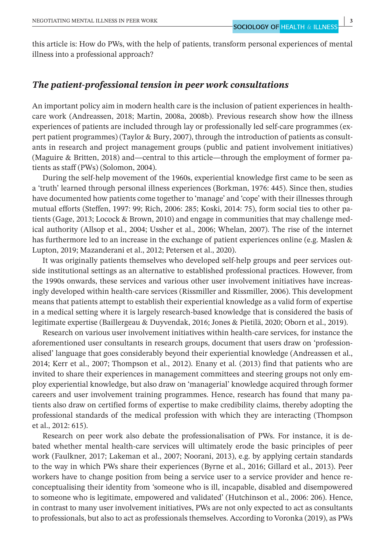this article is: How do PWs, with the help of patients, transform personal experiences of mental illness into a professional approach?

## *The patient***-***professional tension in peer work consultations*

An important policy aim in modern health care is the inclusion of patient experiences in healthcare work (Andreassen, 2018; Martin, 2008a, 2008b). Previous research show how the illness experiences of patients are included through lay or professionally led self-care programmes (expert patient programmes) (Taylor & Bury, 2007), through the introduction of patients as consultants in research and project management groups (public and patient involvement initiatives) (Maguire & Britten, 2018) and—central to this article—through the employment of former patients as staff (PWs) (Solomon, 2004).

During the self-help movement of the 1960s, experiential knowledge first came to be seen as a 'truth' learned through personal illness experiences (Borkman, 1976: 445). Since then, studies have documented how patients come together to 'manage' and 'cope' with their illnesses through mutual efforts (Steffen, 1997: 99; Rich, 2006: 285; Koski, 2014: 75), form social ties to other patients (Gage, 2013; Locock & Brown, 2010) and engage in communities that may challenge medical authority (Allsop et al., 2004; Ussher et al., 2006; Whelan, 2007). The rise of the internet has furthermore led to an increase in the exchange of patient experiences online (e.g. Maslen & Lupton, 2019; Mazanderani et al., 2012; Petersen et al., 2020).

It was originally patients themselves who developed self-help groups and peer services outside institutional settings as an alternative to established professional practices. However, from the 1990s onwards, these services and various other user involvement initiatives have increasingly developed within health-care services (Rissmiller and Rissmiller, 2006). This development means that patients attempt to establish their experiential knowledge as a valid form of expertise in a medical setting where it is largely research-based knowledge that is considered the basis of legitimate expertise (Baillergeau & Duyvendak, 2016; Jones & Pietilä, 2020; Oborn et al., 2019).

Research on various user involvement initiatives within health-care services, for instance the aforementioned user consultants in research groups, document that users draw on 'professionalised' language that goes considerably beyond their experiential knowledge (Andreassen et al., 2014; Kerr et al., 2007; Thompson et al., 2012). Enany et al. (2013) find that patients who are invited to share their experiences in management committees and steering groups not only employ experiential knowledge, but also draw on 'managerial' knowledge acquired through former careers and user involvement training programmes. Hence, research has found that many patients also draw on certified forms of expertise to make credibility claims, thereby adopting the professional standards of the medical profession with which they are interacting (Thompson et al., 2012: 615).

Research on peer work also debate the professionalisation of PWs. For instance, it is debated whether mental health-care services will ultimately erode the basic principles of peer work (Faulkner, 2017; Lakeman et al., 2007; Noorani, 2013), e.g. by applying certain standards to the way in which PWs share their experiences (Byrne et al., 2016; Gillard et al., 2013). Peer workers have to change position from being a service user to a service provider and hence reconceptualising their identity from 'someone who is ill, incapable, disabled and disempowered to someone who is legitimate, empowered and validated' (Hutchinson et al., 2006: 206). Hence, in contrast to many user involvement initiatives, PWs are not only expected to act as consultants to professionals, but also to act as professionals themselves. According to Voronka (2019), as PWs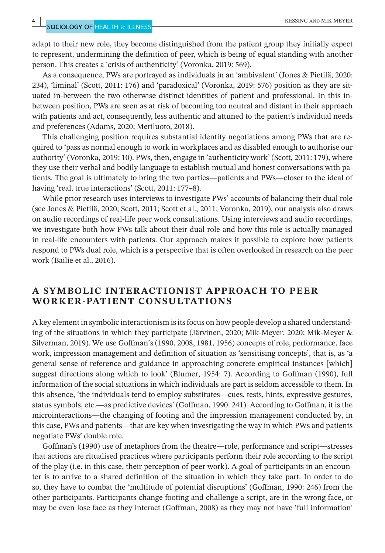adapt to their new role, they become distinguished from the patient group they initially expect to represent, undermining the definition of peer, which is being of equal standing with another person. This creates a 'crisis of authenticity' (Voronka, 2019: 569).

As a consequence, PWs are portrayed as individuals in an 'ambivalent' (Jones & Pietilä, 2020: 234), 'liminal' (Scott, 2011: 176) and 'paradoxical' (Voronka, 2019: 576) position as they are situated in-between the two otherwise distinct identities of patient and professional. In this inbetween position, PWs are seen as at risk of becoming too neutral and distant in their approach with patients and act, consequently, less authentic and attuned to the patient's individual needs and preferences (Adams, 2020; Meriluoto, 2018).

This challenging position requires substantial identity negotiations among PWs that are required to 'pass as normal enough to work in workplaces and as disabled enough to authorise our authority' (Voronka, 2019: 10). PWs, then, engage in 'authenticity work' (Scott, 2011: 179), where they use their verbal and bodily language to establish mutual and honest conversations with patients. The goal is ultimately to bring the two parties—patients and PWs—closer to the ideal of having 'real, true interactions' (Scott, 2011: 177-8).

While prior research uses interviews to investigate PWs' accounts of balancing their dual role (see Jones & Pietilä, 2020; Scott, 2011; Scott et al., 2011; Voronka, 2019), our analysis also draws on audio recordings of real-life peer work consultations. Using interviews and audio recordings, we investigate both how PWs talk about their dual role and how this role is actually managed in real-life encounters with patients. Our approach makes it possible to explore how patients respond to PWs dual role, which is a perspective that is often overlooked in research on the peer work (Bailie et al., 2016).

# **A SYMBOLIC INTERACTIONIST APPROACH TO PEER WORKER-PATIENT CONSULTATIONS**

A key element in symbolic interactionism is its focus on how people develop a shared understanding of the situations in which they participate (Järvinen, 2020; Mik-Meyer, 2020; Mik-Meyer & Silverman, 2019). We use Goffman's (1990, 2008, 1981, 1956) concepts of role, performance, face work, impression management and definition of situation as 'sensitising concepts', that is, as 'a general sense of reference and guidance in approaching concrete empirical instances [which] suggest directions along which to look' (Blumer, 1954: 7). According to Goffman (1990), full information of the social situations in which individuals are part is seldom accessible to them. In this absence, 'the individuals tend to employ substitutes—cues, tests, hints, expressive gestures, status symbols, etc.—as predictive devices' (Goffman, 1990: 241). According to Goffman, it is the microinteractions—the changing of footing and the impression management conducted by, in this case, PWs and patients—that are key when investigating the way in which PWs and patients negotiate PWs' double role.

Goffman's (1990) use of metaphors from the theatre—role, performance and script—stresses that actions are ritualised practices where participants perform their role according to the script of the play (i.e. in this case, their perception of peer work). A goal of participants in an encounter is to arrive to a shared definition of the situation in which they take part. In order to do so, they have to combat the 'multitude of potential disruptions' (Goffman, 1990: 246) from the other participants. Participants change footing and challenge a script, are in the wrong face, or may be even lose face as they interact (Goffman, 2008) as they may not have 'full information'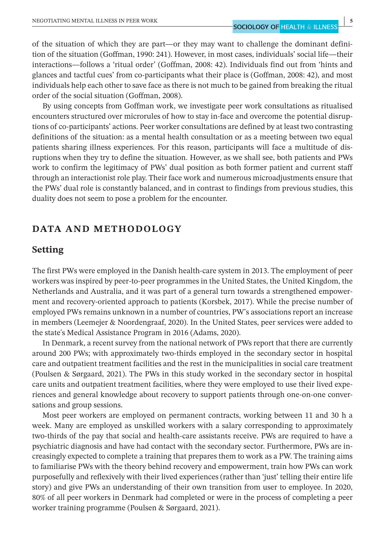of the situation of which they are part—or they may want to challenge the dominant definition of the situation (Goffman, 1990: 241). However, in most cases, individuals' social life—their interactions—follows a 'ritual order' (Goffman, 2008: 42). Individuals find out from 'hints and glances and tactful cues' from co-participants what their place is (Goffman, 2008: 42), and most individuals help each other to save face as there is not much to be gained from breaking the ritual order of the social situation (Goffman, 2008).

By using concepts from Goffman work, we investigate peer work consultations as ritualised encounters structured over microrules of how to stay in-face and overcome the potential disruptions of co-participants' actions. Peer worker consultations are defined by at least two contrasting definitions of the situation: as a mental health consultation or as a meeting between two equal patients sharing illness experiences. For this reason, participants will face a multitude of disruptions when they try to define the situation. However, as we shall see, both patients and PWs work to confirm the legitimacy of PWs' dual position as both former patient and current staff through an interactionist role play. Their face work and numerous microadjustments ensure that the PWs' dual role is constantly balanced, and in contrast to findings from previous studies, this duality does not seem to pose a problem for the encounter.

# **DATA AND METHODOLOGY**

# **Setting**

The first PWs were employed in the Danish health-care system in 2013. The employment of peer workers was inspired by peer-to-peer programmes in the United States, the United Kingdom, the Netherlands and Australia, and it was part of a general turn towards a strengthened empowerment and recovery-oriented approach to patients (Korsbek, 2017). While the precise number of employed PWs remains unknown in a number of countries, PW's associations report an increase in members (Leemejer & Noordengraaf, 2020). In the United States, peer services were added to the state's Medical Assistance Program in 2016 (Adams, 2020).

In Denmark, a recent survey from the national network of PWs report that there are currently around 200 PWs; with approximately two-thirds employed in the secondary sector in hospital care and outpatient treatment facilities and the rest in the municipalities in social care treatment (Poulsen & Sørgaard, 2021). The PWs in this study worked in the secondary sector in hospital care units and outpatient treatment facilities, where they were employed to use their lived experiences and general knowledge about recovery to support patients through one-on-one conversations and group sessions.

Most peer workers are employed on permanent contracts, working between 11 and 30 h a week. Many are employed as unskilled workers with a salary corresponding to approximately two-thirds of the pay that social and health-care assistants receive. PWs are required to have a psychiatric diagnosis and have had contact with the secondary sector. Furthermore, PWs are increasingly expected to complete a training that prepares them to work as a PW. The training aims to familiarise PWs with the theory behind recovery and empowerment, train how PWs can work purposefully and reflexively with their lived experiences (rather than 'just' telling their entire life story) and give PWs an understanding of their own transition from user to employee. In 2020, 80% of all peer workers in Denmark had completed or were in the process of completing a peer worker training programme (Poulsen & Sørgaard, 2021).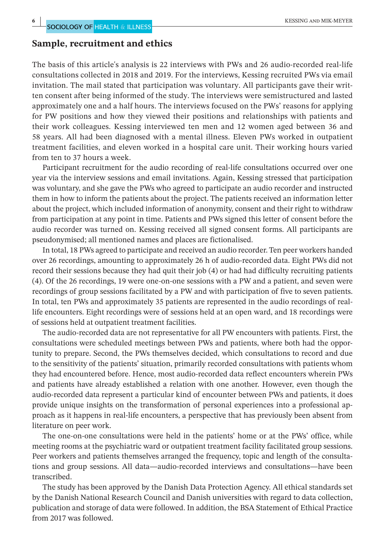# **Sample, recruitment and ethics**

The basis of this article's analysis is 22 interviews with PWs and 26 audio-recorded real-life consultations collected in 2018 and 2019. For the interviews, Kessing recruited PWs via email invitation. The mail stated that participation was voluntary. All participants gave their written consent after being informed of the study. The interviews were semistructured and lasted approximately one and a half hours. The interviews focused on the PWs' reasons for applying for PW positions and how they viewed their positions and relationships with patients and their work colleagues. Kessing interviewed ten men and 12 women aged between 36 and 58 years. All had been diagnosed with a mental illness. Eleven PWs worked in outpatient treatment facilities, and eleven worked in a hospital care unit. Their working hours varied from ten to 37 hours a week.

Participant recruitment for the audio recording of real-life consultations occurred over one year via the interview sessions and email invitations. Again, Kessing stressed that participation was voluntary, and she gave the PWs who agreed to participate an audio recorder and instructed them in how to inform the patients about the project. The patients received an information letter about the project, which included information of anonymity, consent and their right to withdraw from participation at any point in time. Patients and PWs signed this letter of consent before the audio recorder was turned on. Kessing received all signed consent forms. All participants are pseudonymised; all mentioned names and places are fictionalised.

In total, 18 PWs agreed to participate and received an audio recorder. Ten peer workers handed over 26 recordings, amounting to approximately 26 h of audio-recorded data. Eight PWs did not record their sessions because they had quit their job (4) or had had difficulty recruiting patients (4). Of the 26 recordings, 19 were one-on-one sessions with a PW and a patient, and seven were recordings of group sessions facilitated by a PW and with participation of five to seven patients. In total, ten PWs and approximately 35 patients are represented in the audio recordings of reallife encounters. Eight recordings were of sessions held at an open ward, and 18 recordings were of sessions held at outpatient treatment facilities.

The audio-recorded data are not representative for all PW encounters with patients. First, the consultations were scheduled meetings between PWs and patients, where both had the opportunity to prepare. Second, the PWs themselves decided, which consultations to record and due to the sensitivity of the patients' situation, primarily recorded consultations with patients whom they had encountered before. Hence, most audio-recorded data reflect encounters wherein PWs and patients have already established a relation with one another. However, even though the audio-recorded data represent a particular kind of encounter between PWs and patients, it does provide unique insights on the transformation of personal experiences into a professional approach as it happens in real-life encounters, a perspective that has previously been absent from literature on peer work.

The one-on-one consultations were held in the patients' home or at the PWs' office, while meeting rooms at the psychiatric ward or outpatient treatment facility facilitated group sessions. Peer workers and patients themselves arranged the frequency, topic and length of the consultations and group sessions. All data—audio-recorded interviews and consultations—have been transcribed.

The study has been approved by the Danish Data Protection Agency. All ethical standards set by the Danish National Research Council and Danish universities with regard to data collection, publication and storage of data were followed. In addition, the BSA Statement of Ethical Practice from 2017 was followed.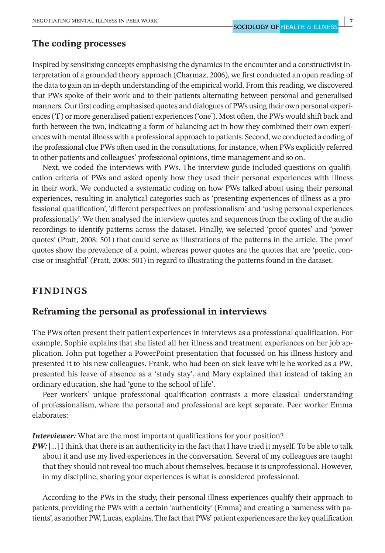# **The coding processes**

Inspired by sensitising concepts emphasising the dynamics in the encounter and a constructivist interpretation of a grounded theory approach (Charmaz, 2006), we first conducted an open reading of the data to gain an in-depth understanding of the empirical world. From this reading, we discovered that PWs spoke of their work and to their patients alternating between personal and generalised manners. Our first coding emphasised quotes and dialogues of PWs using their own personal experiences ('I') or more generalised patient experiences ('one'). Most often, the PWs would shift back and forth between the two, indicating a form of balancing act in how they combined their own experiences with mental illness with a professional approach to patients. Second, we conducted a coding of the professional clue PWs often used in the consultations, for instance, when PWs explicitly referred to other patients and colleagues' professional opinions, time management and so on.

Next, we coded the interviews with PWs. The interview guide included questions on qualification criteria of PWs and asked openly how they used their personal experiences with illness in their work. We conducted a systematic coding on how PWs talked about using their personal experiences, resulting in analytical categories such as 'presenting experiences of illness as a professional qualification', 'different perspectives on professionalism' and 'using personal experiences professionally'. We then analysed the interview quotes and sequences from the coding of the audio recordings to identify patterns across the dataset. Finally, we selected 'proof quotes' and 'power quotes' (Pratt, 2008: 501) that could serve as illustrations of the patterns in the article. The proof quotes show the prevalence of a point, whereas power quotes are the quotes that are 'poetic, concise or insightful' (Pratt, 2008: 501) in regard to illustrating the patterns found in the dataset.

# **FINDINGS**

# **Reframing the personal as professional in interviews**

The PWs often present their patient experiences in interviews as a professional qualification. For example, Sophie explains that she listed all her illness and treatment experiences on her job application. John put together a PowerPoint presentation that focussed on his illness history and presented it to his new colleagues. Frank, who had been on sick leave while he worked as a PW, presented his leave of absence as a 'study stay', and Mary explained that instead of taking an ordinary education, she had 'gone to the school of life'.

Peer workers' unique professional qualification contrasts a more classical understanding of professionalism, where the personal and professional are kept separate. Peer worker Emma elaborates:

*Interviewer:* What are the most important qualifications for your position?

*PW:* [...] I think that there is an authenticity in the fact that I have tried it myself. To be able to talk about it and use my lived experiences in the conversation. Several of my colleagues are taught that they should not reveal too much about themselves, because it is unprofessional. However, in my discipline, sharing your experiences is what is considered professional.

According to the PWs in the study, their personal illness experiences qualify their approach to patients, providing the PWs with a certain 'authenticity' (Emma) and creating a 'sameness with patients', as another PW, Lucas, explains. The fact that PWs' patient experiences are the key qualification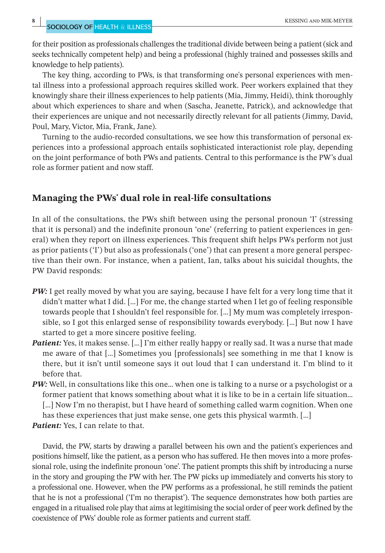for their position as professionals challenges the traditional divide between being a patient (sick and seeks technically competent help) and being a professional (highly trained and possesses skills and knowledge to help patients).

The key thing, according to PWs, is that transforming one's personal experiences with mental illness into a professional approach requires skilled work. Peer workers explained that they knowingly share their illness experiences to help patients (Mia, Jimmy, Heidi), think thoroughly about which experiences to share and when (Sascha, Jeanette, Patrick), and acknowledge that their experiences are unique and not necessarily directly relevant for all patients (Jimmy, David, Poul, Mary, Victor, Mia, Frank, Jane).

Turning to the audio-recorded consultations, we see how this transformation of personal experiences into a professional approach entails sophisticated interactionist role play, depending on the joint performance of both PWs and patients. Central to this performance is the PW's dual role as former patient and now staff.

# **Managing the PWs' dual role in real-life consultations**

In all of the consultations, the PWs shift between using the personal pronoun 'I' (stressing that it is personal) and the indefinite pronoun 'one' (referring to patient experiences in general) when they report on illness experiences. This frequent shift helps PWs perform not just as prior patients ('I') but also as professionals ('one') that can present a more general perspective than their own. For instance, when a patient, Ian, talks about his suicidal thoughts, the PW David responds:

- *PW*: I get really moved by what you are saying, because I have felt for a very long time that it didn't matter what I did. […] For me, the change started when I let go of feeling responsible towards people that I shouldn't feel responsible for. […] My mum was completely irresponsible, so I got this enlarged sense of responsibility towards everybody. […] But now I have started to get a more sincere positive feeling.
- Patient: Yes, it makes sense. [...] I'm either really happy or really sad. It was a nurse that made me aware of that […] Sometimes you [professionals] see something in me that I know is there, but it isn't until someone says it out loud that I can understand it. I'm blind to it before that.
- *PW:* Well, in consultations like this one... when one is talking to a nurse or a psychologist or a former patient that knows something about what it is like to be in a certain life situation… [...] Now I'm no therapist, but I have heard of something called warm cognition. When one has these experiences that just make sense, one gets this physical warmth. […]

*Patient: Yes, I can relate to that.* 

David, the PW, starts by drawing a parallel between his own and the patient's experiences and positions himself, like the patient, as a person who has suffered. He then moves into a more professional role, using the indefinite pronoun 'one'. The patient prompts this shift by introducing a nurse in the story and grouping the PW with her. The PW picks up immediately and converts his story to a professional one. However, when the PW performs as a professional, he still reminds the patient that he is not a professional ('I'm no therapist'). The sequence demonstrates how both parties are engaged in a ritualised role play that aims at legitimising the social order of peer work defined by the coexistence of PWs' double role as former patients and current staff.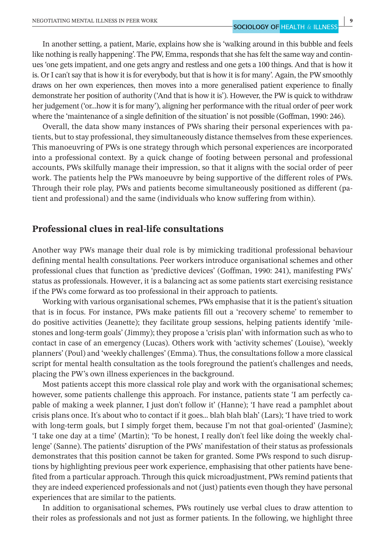In another setting, a patient, Marie, explains how she is 'walking around in this bubble and feels like nothing is really happening'. The PW, Emma, responds that she has felt the same way and continues 'one gets impatient, and one gets angry and restless and one gets a 100 things. And that is how it is. Or I can't say that is how it is for everybody, but that is how it is for many'. Again, the PW smoothly draws on her own experiences, then moves into a more generalised patient experience to finally demonstrate her position of authority ('And that is how it is'). However, the PW is quick to withdraw her judgement ('or…how it is for many'), aligning her performance with the ritual order of peer work where the 'maintenance of a single definition of the situation' is not possible (Goffman, 1990: 246).

Overall, the data show many instances of PWs sharing their personal experiences with patients, but to stay professional, they simultaneously distance themselves from these experiences. This manoeuvring of PWs is one strategy through which personal experiences are incorporated into a professional context. By a quick change of footing between personal and professional accounts, PWs skilfully manage their impression, so that it aligns with the social order of peer work. The patients help the PWs manoeuvre by being supportive of the different roles of PWs. Through their role play, PWs and patients become simultaneously positioned as different (patient and professional) and the same (individuals who know suffering from within).

# **Professional clues in real-life consultations**

Another way PWs manage their dual role is by mimicking traditional professional behaviour defining mental health consultations. Peer workers introduce organisational schemes and other professional clues that function as 'predictive devices' (Goffman, 1990: 241), manifesting PWs' status as professionals. However, it is a balancing act as some patients start exercising resistance if the PWs come forward as too professional in their approach to patients.

Working with various organisational schemes, PWs emphasise that it is the patient's situation that is in focus. For instance, PWs make patients fill out a 'recovery scheme' to remember to do positive activities (Jeanette); they facilitate group sessions, helping patients identify 'milestones and long-term goals' (Jimmy); they propose a 'crisis plan' with information such as who to contact in case of an emergency (Lucas). Others work with 'activity schemes' (Louise), 'weekly planners' (Poul) and 'weekly challenges' (Emma). Thus, the consultations follow a more classical script for mental health consultation as the tools foreground the patient's challenges and needs, placing the PW's own illness experiences in the background.

Most patients accept this more classical role play and work with the organisational schemes; however, some patients challenge this approach. For instance, patients state 'I am perfectly capable of making a week planner, I just don't follow it' (Hanne); 'I have read a pamphlet about crisis plans once. It's about who to contact if it goes… blah blah blah' (Lars); 'I have tried to work with long-term goals, but I simply forget them, because I'm not that goal-oriented' (Jasmine); 'I take one day at a time' (Martin); 'To be honest, I really don't feel like doing the weekly challenge' (Sanne). The patients' disruption of the PWs' manifestation of their status as professionals demonstrates that this position cannot be taken for granted. Some PWs respond to such disruptions by highlighting previous peer work experience, emphasising that other patients have benefited from a particular approach. Through this quick microadjustment, PWs remind patients that they are indeed experienced professionals and not (just) patients even though they have personal experiences that are similar to the patients.

In addition to organisational schemes, PWs routinely use verbal clues to draw attention to their roles as professionals and not just as former patients. In the following, we highlight three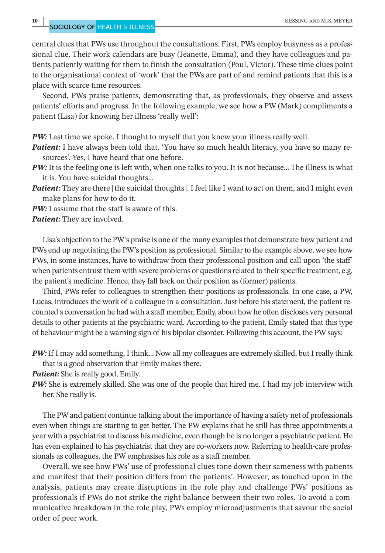**10 <sup>|</sup>** KESSING and MIK-MEYER

central clues that PWs use throughout the consultations. First, PWs employ busyness as a professional clue. Their work calendars are busy (Jeanette, Emma), and they have colleagues and patients patiently waiting for them to finish the consultation (Poul, Victor). These time clues point to the organisational context of 'work' that the PWs are part of and remind patients that this is a place with scarce time resources.

Second, PWs praise patients, demonstrating that, as professionals, they observe and assess patients' efforts and progress. In the following example, we see how a PW (Mark) compliments a patient (Lisa) for knowing her illness 'really well':

*PW*: Last time we spoke, I thought to myself that you knew your illness really well.

- **Patient:** I have always been told that. 'You have so much health literacy, you have so many resources'. Yes, I have heard that one before.
- *PW:* It is the feeling one is left with, when one talks to you. It is not because... The illness is what it is. You have suicidal thoughts…
- **Patient:** They are there [the suicidal thoughts]. I feel like I want to act on them, and I might even make plans for how to do it.
- *PW:* I assume that the staff is aware of this.

Lisa's objection to the PW's praise is one of the many examples that demonstrate how patient and PWs end up negotiating the PW's position as professional. Similar to the example above, we see how PWs, in some instances, have to withdraw from their professional position and call upon 'the staff' when patients entrust them with severe problems or questions related to their specific treatment, e.g. the patient's medicine. Hence, they fall back on their position as (former) patients.

Third, PWs refer to colleagues to strengthen their positions as professionals. In one case, a PW, Lucas, introduces the work of a colleague in a consultation. Just before his statement, the patient recounted a conversation he had with a staff member, Emily, about how he often discloses very personal details to other patients at the psychiatric ward. According to the patient, Emily stated that this type of behaviour might be a warning sign of his bipolar disorder. Following this account, the PW says:

*PW:* If I may add something, I think... Now all my colleagues are extremely skilled, but I really think that is a good observation that Emily makes there.

**Patient:** She is really good, Emily.

*PW:* She is extremely skilled. She was one of the people that hired me. I had my job interview with her. She really is.

The PW and patient continue talking about the importance of having a safety net of professionals even when things are starting to get better. The PW explains that he still has three appointments a year with a psychiatrist to discuss his medicine, even though he is no longer a psychiatric patient. He has even explained to his psychiatrist that they are co-workers now. Referring to health-care professionals as colleagues, the PW emphasises his role as a staff member.

Overall, we see how PWs' use of professional clues tone down their sameness with patients and manifest that their position differs from the patients'. However, as touched upon in the analysis, patients may create disruptions in the role play and challenge PWs' positions as professionals if PWs do not strike the right balance between their two roles. To avoid a communicative breakdown in the role play, PWs employ microadjustments that savour the social order of peer work.

*Patient:* They are involved.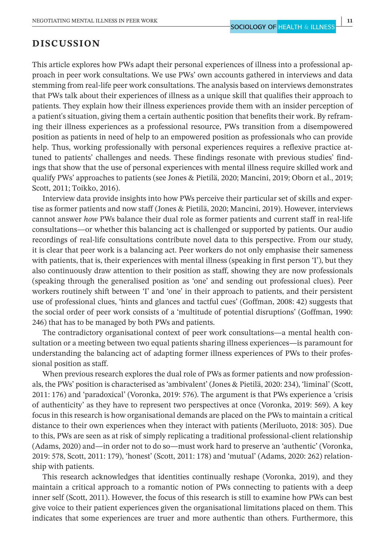# **DISCUSSION**

This article explores how PWs adapt their personal experiences of illness into a professional approach in peer work consultations. We use PWs' own accounts gathered in interviews and data stemming from real-life peer work consultations. The analysis based on interviews demonstrates that PWs talk about their experiences of illness as a unique skill that qualifies their approach to patients. They explain how their illness experiences provide them with an insider perception of a patient's situation, giving them a certain authentic position that benefits their work. By reframing their illness experiences as a professional resource, PWs transition from a disempowered position as patients in need of help to an empowered position as professionals who can provide help. Thus, working professionally with personal experiences requires a reflexive practice attuned to patients' challenges and needs. These findings resonate with previous studies' findings that show that the use of personal experiences with mental illness require skilled work and qualify PWs' approaches to patients (see Jones & Pietilä, 2020; Mancini, 2019; Oborn et al., 2019; Scott, 2011; Toikko, 2016).

Interview data provide insights into how PWs perceive their particular set of skills and expertise as former patients and now staff (Jones & Pietilä, 2020; Mancini, 2019). However, interviews cannot answer *how* PWs balance their dual role as former patients and current staff in real-life consultations—or whether this balancing act is challenged or supported by patients. Our audio recordings of real-life consultations contribute novel data to this perspective. From our study, it is clear that peer work is a balancing act. Peer workers do not only emphasise their sameness with patients, that is, their experiences with mental illness (speaking in first person 'I'), but they also continuously draw attention to their position as staff, showing they are now professionals (speaking through the generalised position as 'one' and sending out professional clues). Peer workers routinely shift between 'I' and 'one' in their approach to patients, and their persistent use of professional clues, 'hints and glances and tactful cues' (Goffman, 2008: 42) suggests that the social order of peer work consists of a 'multitude of potential disruptions' (Goffman, 1990: 246) that has to be managed by both PWs and patients.

The contradictory organisational context of peer work consultations—a mental health consultation or a meeting between two equal patients sharing illness experiences—is paramount for understanding the balancing act of adapting former illness experiences of PWs to their professional position as staff.

When previous research explores the dual role of PWs as former patients and now professionals, the PWs' position is characterised as 'ambivalent' (Jones & Pietilä, 2020: 234), 'liminal' (Scott, 2011: 176) and 'paradoxical' (Voronka, 2019: 576). The argument is that PWs experience a 'crisis of authenticity' as they have to represent two perspectives at once (Voronka, 2019: 569). A key focus in this research is how organisational demands are placed on the PWs to maintain a critical distance to their own experiences when they interact with patients (Meriluoto, 2018: 305). Due to this, PWs are seen as at risk of simply replicating a traditional professional-client relationship (Adams, 2020) and—in order not to do so—must work hard to preserve an 'authentic' (Voronka, 2019: 578, Scott, 2011: 179), 'honest' (Scott, 2011: 178) and 'mutual' (Adams, 2020: 262) relationship with patients.

This research acknowledges that identities continually reshape (Voronka, 2019), and they maintain a critical approach to a romantic notion of PWs connecting to patients with a deep inner self (Scott, 2011). However, the focus of this research is still to examine how PWs can best give voice to their patient experiences given the organisational limitations placed on them. This indicates that some experiences are truer and more authentic than others. Furthermore, this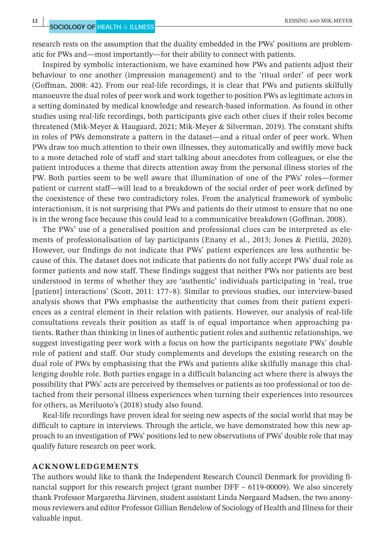research rests on the assumption that the duality embedded in the PWs' positions are problematic for PWs and—most importantly—for their ability to connect with patients.

Inspired by symbolic interactionism, we have examined how PWs and patients adjust their behaviour to one another (impression management) and to the 'ritual order' of peer work (Goffman, 2008: 42). From our real-life recordings, it is clear that PWs and patients skilfully manoeuvre the dual roles of peer work and work together to position PWs as legitimate actors in a setting dominated by medical knowledge and research-based information. As found in other studies using real-life recordings, both participants give each other clues if their roles become threatened (Mik-Meyer & Haugaard, 2021; Mik-Meyer & Silverman, 2019). The constant shifts in roles of PWs demonstrate a pattern in the dataset—and a ritual order of peer work. When PWs draw too much attention to their own illnesses, they automatically and swiftly move back to a more detached role of staff and start talking about anecdotes from colleagues, or else the patient introduces a theme that directs attention away from the personal illness stories of the PW. Both parties seem to be well aware that illumination of one of the PWs' roles—former patient or current staff—will lead to a breakdown of the social order of peer work defined by the coexistence of these two contradictory roles. From the analytical framework of symbolic interactionism, it is not surprising that PWs and patients do their utmost to ensure that no one is in the wrong face because this could lead to a communicative breakdown (Goffman, 2008).

The PWs' use of a generalised position and professional clues can be interpreted as elements of professionalisation of lay participants (Enany et al., 2013; Jones & Pietilä, 2020). However, our findings do not indicate that PWs' patient experiences are less authentic because of this. The dataset does not indicate that patients do not fully accept PWs' dual role as former patients and now staff. These findings suggest that neither PWs nor patients are best understood in terms of whether they are 'authentic' individuals participating in 'real, true [patient] interactions' (Scott, 2011: 177–8). Similar to previous studies, our interview-based analysis shows that PWs emphasise the authenticity that comes from their patient experiences as a central element in their relation with patients. However, our analysis of real-life consultations reveals their position as staff is of equal importance when approaching patients. Rather than thinking in lines of authentic patient roles and authentic relationships, we suggest investigating peer work with a focus on how the participants negotiate PWs' double role of patient and staff. Our study complements and develops the existing research on the dual role of PWs by emphasising that the PWs and patients alike skilfully manage this challenging double role. Both parties engage in a difficult balancing act where there is always the possibility that PWs' acts are perceived by themselves or patients as too professional or too detached from their personal illness experiences when turning their experiences into resources for others, as Meriluoto's (2018) study also found.

Real-life recordings have proven ideal for seeing new aspects of the social world that may be difficult to capture in interviews. Through the article, we have demonstrated how this new approach to an investigation of PWs' positions led to new observations of PWs' double role that may qualify future research on peer work.

#### **ACKNOWLEDGEMENTS**

The authors would like to thank the Independent Research Council Denmark for providing financial support for this research project (grant number DFF – 6119-00009). We also sincerely thank Professor Margaretha Järvinen, student assistant Linda Nørgaard Madsen, the two anonymous reviewers and editor Professor Gillian Bendelow of Sociology of Health and Illness for their valuable input.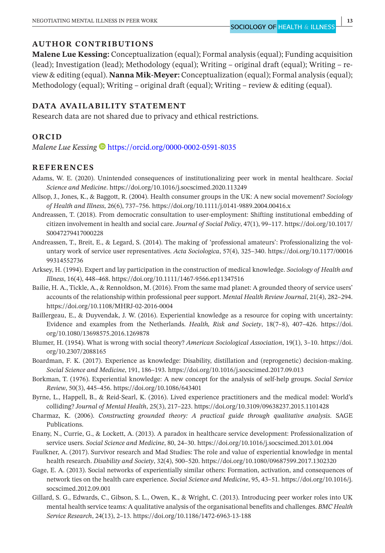## **AUTHOR CONTRIBUTIONS**

**Malene Lue Kessing:** Conceptualization (equal); Formal analysis (equal); Funding acquisition (lead); Investigation (lead); Methodology (equal); Writing – original draft (equal); Writing – review & editing (equal). **Nanna Mik-Meyer:** Conceptualization (equal); Formal analysis (equal); Methodology (equal); Writing – original draft (equal); Writing – review & editing (equal).

#### **DATA AVAILABILITY STATEMENT**

Research data are not shared due to privacy and ethical restrictions.

#### **ORCID**

*Malene Lue Kessing* **b** <https://orcid.org/0000-0002-0591-8035>

#### **REFERENCES**

- Adams, W. E. (2020). Unintended consequences of institutionalizing peer work in mental healthcare. *Social Science and Medicine*. <https://doi.org/10.1016/j.socscimed.2020.113249>
- Allsop, J., Jones, K., & Baggott, R. (2004). Health consumer groups in the UK: A new social movement? *Sociology of Health and Illness*, 26(6), 737–756. <https://doi.org/10.1111/j.0141-9889.2004.00416.x>
- Andreassen, T. (2018). From democratic consultation to user-employment: Shifting institutional embedding of citizen involvement in health and social care. *Journal of Social Policy*, 47(1), 99–117. [https://doi.org/10.1017/](https://doi.org/10.1017/S0047279417000228) [S0047279417000228](https://doi.org/10.1017/S0047279417000228)
- Andreassen, T., Breit, E., & Legard, S. (2014). The making of 'professional amateurs': Professionalizing the voluntary work of service user representatives. *Acta Sociologica*, 57(4), 325–340. [https://doi.org/10.1177/00016](https://doi.org/10.1177/0001699314552736) [99314552736](https://doi.org/10.1177/0001699314552736)
- Arksey, H. (1994). Expert and lay participation in the construction of medical knowledge. *Sociology of Health and Illness*, 16(4), 448–468. <https://doi.org/10.1111/1467-9566.ep11347516>
- Bailie, H. A., Tickle, A., & Rennoldson, M. (2016). From the same mad planet: A grounded theory of service users' accounts of the relationship within professional peer support. *Mental Health Review Journal*, 21(4), 282–294. <https://doi.org/10.1108/MHRJ-02-2016-0004>
- Baillergeau, E., & Duyvendak, J. W. (2016). Experiential knowledge as a resource for coping with uncertainty: Evidence and examples from the Netherlands. *Health, Risk and Society*, 18(7–8), 407–426. [https://doi.](https://doi.org/10.1080/13698575.2016.1269878) [org/10.1080/13698575.2016.1269878](https://doi.org/10.1080/13698575.2016.1269878)
- Blumer, H. (1954). What is wrong with social theory? *American Sociological Association*, 19(1), 3–10. [https://doi.](https://doi.org/10.2307/2088165) [org/10.2307/2088165](https://doi.org/10.2307/2088165)
- Boardman, F. K. (2017). Experience as knowledge: Disability, distillation and (reprogenetic) decision-making. *Social Science and Medicine*, 191, 186–193. <https://doi.org/10.1016/j.socscimed.2017.09.013>
- Borkman, T. (1976). Experiential knowledge: A new concept for the analysis of self-help groups. *Social Service Review*, 50(3), 445–456. <https://doi.org/10.1086/643401>
- Byrne, L., Happell, B., & Reid-Searl, K. (2016). Lived experience practitioners and the medical model: World's colliding? *Journal of Mental Health*, 25(3), 217–223. <https://doi.org/10.3109/09638237.2015.1101428>
- Charmaz, K. (2006). *Constructing grounded theory: A practical guide through qualitative analysis*. SAGE Publications.
- Enany, N., Currie, G., & Lockett, A. (2013). A paradox in healthcare service development: Professionalization of service users. *Social Science and Medicine*, 80, 24–30.<https://doi.org/10.1016/j.socscimed.2013.01.004>
- Faulkner, A. (2017). Survivor research and Mad Studies: The role and value of experiential knowledge in mental health research. *Disability and Society*, 32(4), 500–520. <https://doi.org/10.1080/09687599.2017.1302320>
- Gage, E. A. (2013). Social networks of experientially similar others: Formation, activation, and consequences of network ties on the health care experience. *Social Science and Medicine*, 95, 43–51. [https://doi.org/10.1016/j.](https://doi.org/10.1016/j.socscimed.2012.09.001) [socscimed.2012.09.001](https://doi.org/10.1016/j.socscimed.2012.09.001)
- Gillard, S. G., Edwards, C., Gibson, S. L., Owen, K., & Wright, C. (2013). Introducing peer worker roles into UK mental health service teams: A qualitative analysis of the organisational benefits and challenges. *BMC Health Service Research*, 24(13), 2–13. <https://doi.org/10.1186/1472-6963-13-188>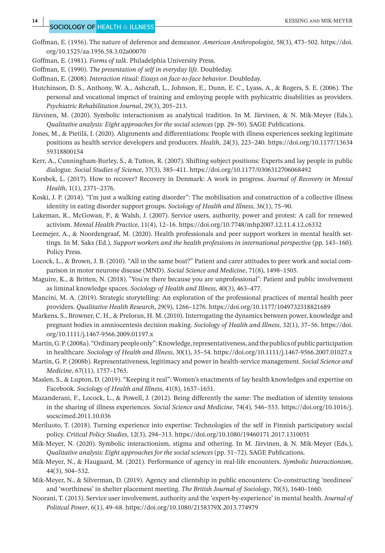- Goffman, E. (1956). The nature of deference and demeanor. *American Anthropologist*, 58(3), 473–502. [https://doi.](https://doi.org/10.1525/aa.1956.58.3.02a00070) [org/10.1525/aa.1956.58.3.02a00070](https://doi.org/10.1525/aa.1956.58.3.02a00070)
- Goffman, E. (1981). *Forms of talk*. Philadelphia University Press.
- Goffman, E. (1990). *The presentation of self in everyday life*. Doubleday.
- Goffman, E. (2008). *Interaction ritual: Essays on face-to-face behavior*. Doubleday.
- Hutchinson, D. S., Anthony, W. A., Ashcraft, L., Johnson, E., Dunn, E. C., Lyass, A., & Rogers, S. E. (2006). The personal and vocational impract of training and emloying people with psyhicatric disabilities as providers. *Psychiatric Rehabilitation Journal*, 29(3), 205–213.
- Järvinen, M. (2020). Symbolic interactionism as analytical tradition. In M. Järvinen, & N. Mik-Meyer (Eds.), *Qualitative analysis: Eight approaches for the social sciences* (pp. 29–50). SAGE Publications.
- Jones, M., & Pietilä, I. (2020). Alignments and differentiations: People with illness experiences seeking legitimate positions as health service developers and producers. *Health*, 24(3), 223–240. [https://doi.org/10.1177/13634](https://doi.org/10.1177/1363459318800154) [59318800154](https://doi.org/10.1177/1363459318800154)
- Kerr, A., Cunningham-Burley, S., & Tutton, R. (2007). Shifting subject positions: Experts and lay people in public dialogue. *Social Studies of Science*, 37(3), 385–411. <https://doi.org/10.1177/0306312706068492>
- Korsbek, L. (2017). How to recover? Recovery in Denmark: A work in progress. *Journal of Recovery in Mental Health*, 1(1), 2371–2376.
- Koski, J. P. (2014). "I'm just a walking eating disorder": The mobilisation and construction of a collective illness identity in eating disorder support groups. *Sociology of Health and Illness*, 36(1), 75–90.
- Lakeman, R., McGowan, P., & Walsh, J. (2007). Service users, authority, power and protest: A call for renewed activism. *Mental Health Practice*, 11(4), 12–16.<https://doi.org/10.7748/mhp2007.12.11.4.12.c6332>
- Leemejer, A., & Noordengraaf, M. (2020). Health professionals and peer support workers in mental health settings. In M. Saks (Ed.), *Support workers and the health professions in international perspective* (pp. 143–160). Policy Press.
- Locock, L., & Brown, J. B. (2010). "All in the same boat?" Patient and carer attitudes to peer work and social comparison in motor neurone disease (MND). *Social Science and Medicine*, 71(8), 1498–1505.
- Maguire, K., & Britten, N. (2018). "You're there because you are unprofessional": Patient and public involvement as liminal knowledge spaces. *Sociology of Health and Illness*, 40(3), 463–477.
- Mancini, M. A. (2019). Strategic storytelling: An exploration of the professional practices of mental health peer providers. *Qualitative Health Research*, 29(9), 1266–1276.<https://doi.org/10.1177/1049732318821689>
- Markens, S., Browner, C. H., & Preloran, H. M. (2010). Interrogating the dynamics between power, knowledge and pregnant bodies in amniocentesis decision making. *Sociology of Health and Illness*, 32(1), 37–56. [https://doi.](https://doi.org/10.1111/j.1467-9566.2009.01197.x) [org/10.1111/j.1467-9566.2009.01197.x](https://doi.org/10.1111/j.1467-9566.2009.01197.x)
- Martin, G. P. (2008a). "Ordinary people only": Knowledge, representativeness, and the publics of public participation in healthcare. *Sociology of Health and Illness*, 30(1), 35–54. <https://doi.org/10.1111/j.1467-9566.2007.01027.x>
- Martin, G. P. (2008b). Representativeness, legitimacy and power in health-service management. *Social Science and Medicine*, 67(11), 1757–1765.
- Maslen, S., & Lupton, D. (2019). "Keeping it real": Women's enactments of lay health knowledges and expertise on Facebook. *Sociology of Health and Illness*, 41(8), 1637–1651.
- Mazanderani, F., Locock, L., & Powell, J. (2012). Being differently the same: The mediation of identity tensions in the sharing of illness experiences. *Social Science and Medicine*, 74(4), 546–553. [https://doi.org/10.1016/j.](https://doi.org/10.1016/j.socscimed.2011.10.036) [socscimed.2011.10.036](https://doi.org/10.1016/j.socscimed.2011.10.036)
- Meriluoto, T. (2018). Turning experience into expertise: Technologies of the self in Finnish participatory social policy. *Critical Policy Studies*, 12(3), 294–313.<https://doi.org/10.1080/19460171.2017.1310051>
- Mik-Meyer, N. (2020). Symbolic interactionism, stigma and othering. In M. Järvinen, & N. Mik-Meyer (Eds.), *Qualitative analysis: Eight approaches for the social sciences* (pp. 51–72). SAGE Publications.
- Mik-Meyer, N., & Haugaard, M. (2021). Performance of agency in real-life encounters. *Symbolic Interactionism*, 44(3), 504–532.
- Mik-Meyer, N., & Silverman, D. (2019). Agency and clientship in public encounters: Co-constructing 'neediness' and 'worthiness' in shelter placement meeting. *The British Journal of Sociology*, 70(5), 1640–1660.
- Noorani, T. (2013). Service user involvement, authority and the 'expert-by-experience' in mental health. *Journal of Political Power*, 6(1), 49–68. <https://doi.org/10.1080/2158379X.2013.774979>